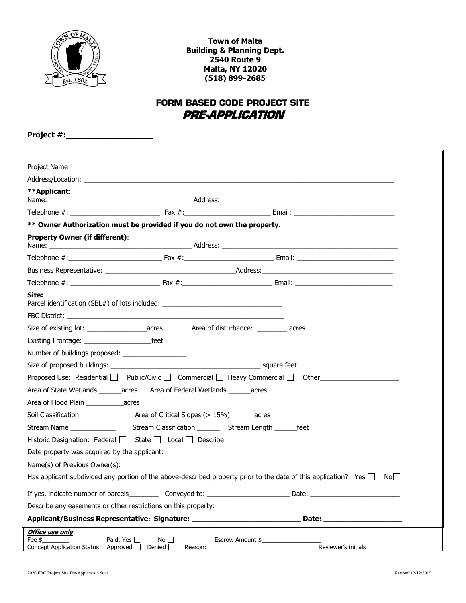

**Town of Malta Building & Planning Dept. 2540 Route 9 Malta, NY 12020 (518) 899-2685**

# **FORM BASED CODE PROJECT SITE PRE-APPLICATION**

**Project #:\_\_\_\_\_\_\_\_\_\_\_\_\_\_\_\_\_\_**

| **Applicant:                                                                                                                                                                                                                         |  |  |  |  |
|--------------------------------------------------------------------------------------------------------------------------------------------------------------------------------------------------------------------------------------|--|--|--|--|
|                                                                                                                                                                                                                                      |  |  |  |  |
|                                                                                                                                                                                                                                      |  |  |  |  |
| ** Owner Authorization must be provided if you do not own the property.                                                                                                                                                              |  |  |  |  |
| <b>Property Owner (if different):</b>                                                                                                                                                                                                |  |  |  |  |
|                                                                                                                                                                                                                                      |  |  |  |  |
|                                                                                                                                                                                                                                      |  |  |  |  |
|                                                                                                                                                                                                                                      |  |  |  |  |
| Site:<br>Parcel identification (SBL#) of lots included: _________________________________                                                                                                                                            |  |  |  |  |
| FBC District: <b>All and Security and Security and Security and Security and Security and Security and Security and Security and Security and Security and Security and Security and Security and Security and Security and Secu</b> |  |  |  |  |
|                                                                                                                                                                                                                                      |  |  |  |  |
|                                                                                                                                                                                                                                      |  |  |  |  |
|                                                                                                                                                                                                                                      |  |  |  |  |
|                                                                                                                                                                                                                                      |  |  |  |  |
| Proposed Use: Residential $\Box$ Public/Civic $\Box$ Commercial $\Box$ Heavy Commercial $\Box$ Other                                                                                                                                 |  |  |  |  |
| Area of State Wetlands ________ acres Area of Federal Wetlands _______ acres                                                                                                                                                         |  |  |  |  |
|                                                                                                                                                                                                                                      |  |  |  |  |
| Area of Critical Slopes $(>15\%)$ acres<br>Soil Classification ________                                                                                                                                                              |  |  |  |  |
| Stream Name _______________________Stream Classification ____________Stream Length _________feet                                                                                                                                     |  |  |  |  |
| Historic Designation: Federal   State   Local   Describe _______________________                                                                                                                                                     |  |  |  |  |
| Date property was acquired by the applicant: ___________________________________                                                                                                                                                     |  |  |  |  |
| Name(s) of Previous Owner(s): example and the contract of the contract of the contract of the contract of the contract of the contract of the contract of the contract of the contract of the contract of the contract of the        |  |  |  |  |
| Has applicant subdivided any portion of the above-described property prior to the date of this application? Yes $\Box$ No                                                                                                            |  |  |  |  |
|                                                                                                                                                                                                                                      |  |  |  |  |
|                                                                                                                                                                                                                                      |  |  |  |  |
| Applicant/Business Representative: Signature: __________________________________                                                                                                                                                     |  |  |  |  |
| <b>Office use only</b><br>Paid: Yes □<br>Fee \$<br>No $\Box$<br>Escrow Amount \$<br>Reviewer's initials<br>Concept Application Status: Approved O<br>Denied $\Box$<br>Reason:                                                        |  |  |  |  |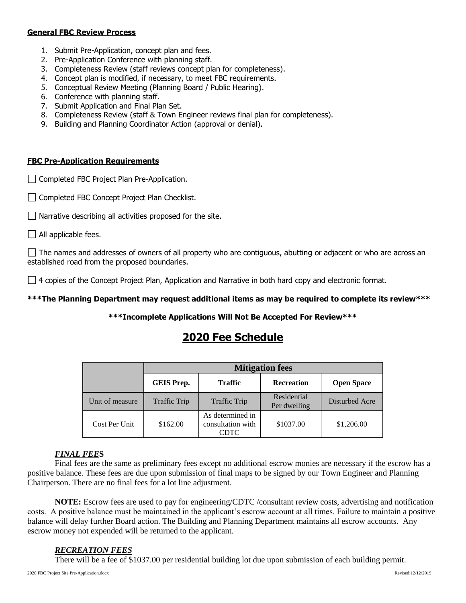#### **General FBC Review Process**

- 1. Submit Pre-Application, concept plan and fees.
- 2. Pre-Application Conference with planning staff.
- 3. Completeness Review (staff reviews concept plan for completeness).
- 4. Concept plan is modified, if necessary, to meet FBC requirements.
- 5. Conceptual Review Meeting (Planning Board / Public Hearing).
- 6. Conference with planning staff.
- 7. Submit Application and Final Plan Set.
- 8. Completeness Review (staff & Town Engineer reviews final plan for completeness).
- 9. Building and Planning Coordinator Action (approval or denial).

#### **FBC Pre-Application Requirements**

- Completed FBC Project Plan Pre-Application.
- Completed FBC Concept Project Plan Checklist.
- $\Box$  Narrative describing all activities proposed for the site.
- $\Box$  All applicable fees.

 $\Box$  The names and addresses of owners of all property who are contiguous, abutting or adjacent or who are across an established road from the proposed boundaries.

 $\Box$  4 copies of the Concept Project Plan, Application and Narrative in both hard copy and electronic format.

**\*\*\*The Planning Department may request additional items as may be required to complete its review\*\*\*** 

### **\*\*\*Incomplete Applications Will Not Be Accepted For Review\*\*\***

# **2020 Fee Schedule**

|                 | <b>Mitigation fees</b> |                                               |                             |                   |
|-----------------|------------------------|-----------------------------------------------|-----------------------------|-------------------|
|                 | <b>GEIS Prep.</b>      | <b>Traffic</b>                                | <b>Recreation</b>           | <b>Open Space</b> |
| Unit of measure | Traffic Trip           | <b>Traffic Trip</b>                           | Residential<br>Per dwelling | Disturbed Acre    |
| Cost Per Unit   | \$162.00               | As determined in<br>consultation with<br>CDTC | \$1037.00                   | \$1,206.00        |

## *FINAL FEE***S**

Final fees are the same as preliminary fees except no additional escrow monies are necessary if the escrow has a positive balance. These fees are due upon submission of final maps to be signed by our Town Engineer and Planning Chairperson. There are no final fees for a lot line adjustment.

**NOTE:** Escrow fees are used to pay for engineering/CDTC /consultant review costs, advertising and notification costs. A positive balance must be maintained in the applicant's escrow account at all times. Failure to maintain a positive balance will delay further Board action. The Building and Planning Department maintains all escrow accounts. Any escrow money not expended will be returned to the applicant.

### *RECREATION FEES*

There will be a fee of \$1037.00 per residential building lot due upon submission of each building permit.